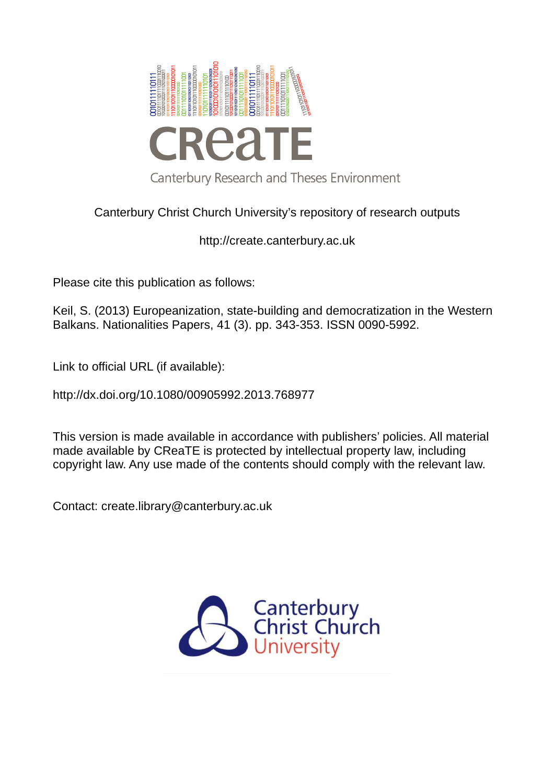

# Canterbury Christ Church University's repository of research outputs

http://create.canterbury.ac.uk

Please cite this publication as follows:

Keil, S. (2013) Europeanization, state-building and democratization in the Western Balkans. Nationalities Papers, 41 (3). pp. 343-353. ISSN 0090-5992.

Link to official URL (if available):

http://dx.doi.org/10.1080/00905992.2013.768977

This version is made available in accordance with publishers' policies. All material made available by CReaTE is protected by intellectual property law, including copyright law. Any use made of the contents should comply with the relevant law.

Contact: create.library@canterbury.ac.uk

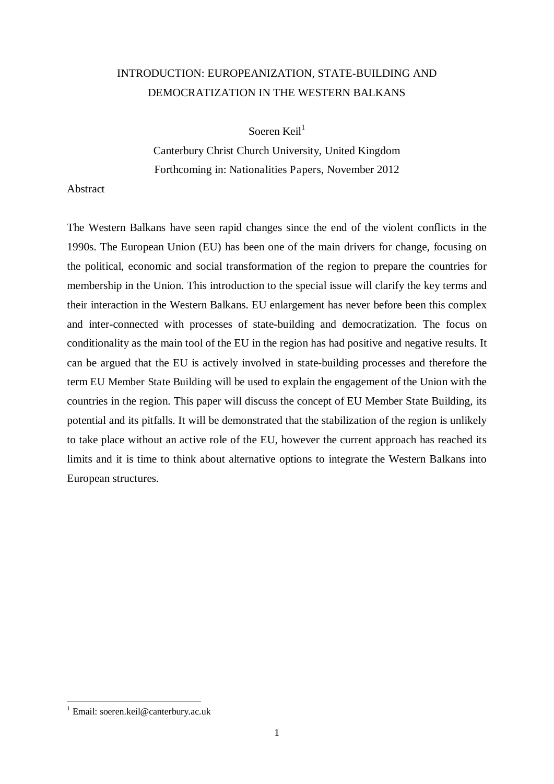## INTRODUCTION: EUROPEANIZATION, STATE-BUILDING AND DEMOCRATIZATION IN THE WESTERN BALKANS

Soeren Keil $1$ 

Canterbury Christ Church University, United Kingdom Forthcoming in: Nationalities Papers, November 2012

### Abstract

The Western Balkans have seen rapid changes since the end of the violent conflicts in the 1990s. The European Union (EU) has been one of the main drivers for change, focusing on the political, economic and social transformation of the region to prepare the countries for membership in the Union. This introduction to the special issue will clarify the key terms and their interaction in the Western Balkans. EU enlargement has never before been this complex and inter-connected with processes of state-building and democratization. The focus on conditionality as the main tool of the EU in the region has had positive and negative results. It can be argued that the EU is actively involved in state-building processes and therefore the term EU Member State Building will be used to explain the engagement of the Union with the countries in the region. This paper will discuss the concept of EU Member State Building, its potential and its pitfalls. It will be demonstrated that the stabilization of the region is unlikely to take place without an active role of the EU, however the current approach has reached its limits and it is time to think about alternative options to integrate the Western Balkans into European structures.

 $\overline{a}$ 

<sup>1</sup> Email: soeren.keil@canterbury.ac.uk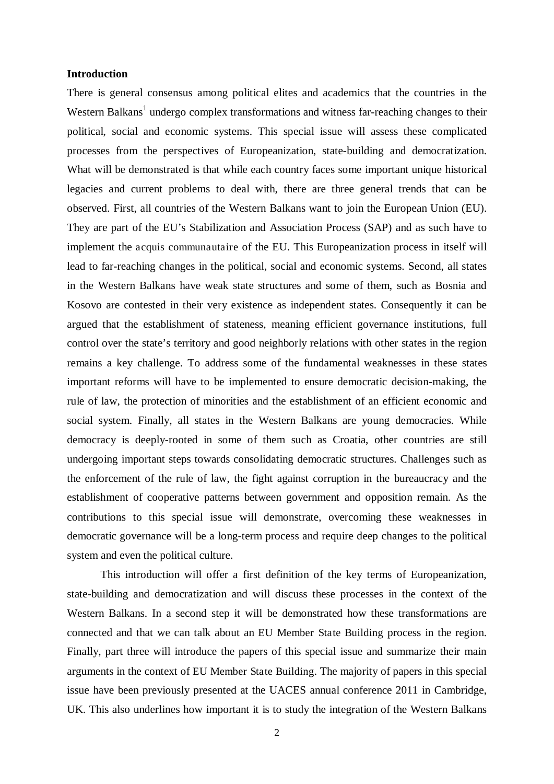#### **Introduction**

There is general consensus among political elites and academics that the countries in the Western Balkans<sup>1</sup> undergo complex transformations and witness far-reaching changes to their political, social and economic systems. This special issue will assess these complicated processes from the perspectives of Europeanization, state-building and democratization. What will be demonstrated is that while each country faces some important unique historical legacies and current problems to deal with, there are three general trends that can be observed. First, all countries of the Western Balkans want to join the European Union (EU). They are part of the EU's Stabilization and Association Process (SAP) and as such have to implement the acquis communautaire of the EU. This Europeanization process in itself will lead to far-reaching changes in the political, social and economic systems. Second, all states in the Western Balkans have weak state structures and some of them, such as Bosnia and Kosovo are contested in their very existence as independent states. Consequently it can be argued that the establishment of stateness, meaning efficient governance institutions, full control over the state's territory and good neighborly relations with other states in the region remains a key challenge. To address some of the fundamental weaknesses in these states important reforms will have to be implemented to ensure democratic decision-making, the rule of law, the protection of minorities and the establishment of an efficient economic and social system. Finally, all states in the Western Balkans are young democracies. While democracy is deeply-rooted in some of them such as Croatia, other countries are still undergoing important steps towards consolidating democratic structures. Challenges such as the enforcement of the rule of law, the fight against corruption in the bureaucracy and the establishment of cooperative patterns between government and opposition remain. As the contributions to this special issue will demonstrate, overcoming these weaknesses in democratic governance will be a long-term process and require deep changes to the political system and even the political culture.

This introduction will offer a first definition of the key terms of Europeanization, state-building and democratization and will discuss these processes in the context of the Western Balkans. In a second step it will be demonstrated how these transformations are connected and that we can talk about an EU Member State Building process in the region. Finally, part three will introduce the papers of this special issue and summarize their main arguments in the context of EU Member State Building. The majority of papers in this special issue have been previously presented at the UACES annual conference 2011 in Cambridge, UK. This also underlines how important it is to study the integration of the Western Balkans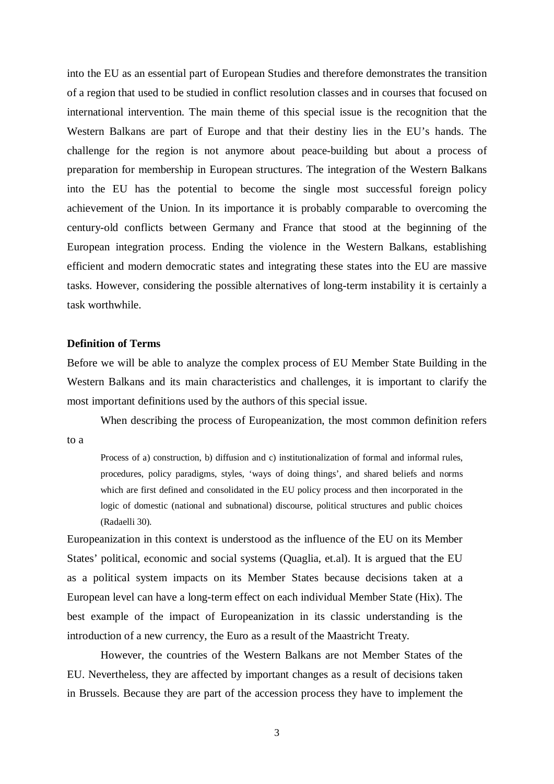into the EU as an essential part of European Studies and therefore demonstrates the transition of a region that used to be studied in conflict resolution classes and in courses that focused on international intervention. The main theme of this special issue is the recognition that the Western Balkans are part of Europe and that their destiny lies in the EU's hands. The challenge for the region is not anymore about peace-building but about a process of preparation for membership in European structures. The integration of the Western Balkans into the EU has the potential to become the single most successful foreign policy achievement of the Union. In its importance it is probably comparable to overcoming the century-old conflicts between Germany and France that stood at the beginning of the European integration process. Ending the violence in the Western Balkans, establishing efficient and modern democratic states and integrating these states into the EU are massive tasks. However, considering the possible alternatives of long-term instability it is certainly a task worthwhile.

#### **Definition of Terms**

Before we will be able to analyze the complex process of EU Member State Building in the Western Balkans and its main characteristics and challenges, it is important to clarify the most important definitions used by the authors of this special issue.

When describing the process of Europeanization, the most common definition refers to a

Process of a) construction, b) diffusion and c) institutionalization of formal and informal rules, procedures, policy paradigms, styles, 'ways of doing things', and shared beliefs and norms which are first defined and consolidated in the EU policy process and then incorporated in the logic of domestic (national and subnational) discourse, political structures and public choices (Radaelli 30).

Europeanization in this context is understood as the influence of the EU on its Member States' political, economic and social systems (Quaglia, et.al). It is argued that the EU as a political system impacts on its Member States because decisions taken at a European level can have a long-term effect on each individual Member State (Hix). The best example of the impact of Europeanization in its classic understanding is the introduction of a new currency, the Euro as a result of the Maastricht Treaty.

However, the countries of the Western Balkans are not Member States of the EU. Nevertheless, they are affected by important changes as a result of decisions taken in Brussels. Because they are part of the accession process they have to implement the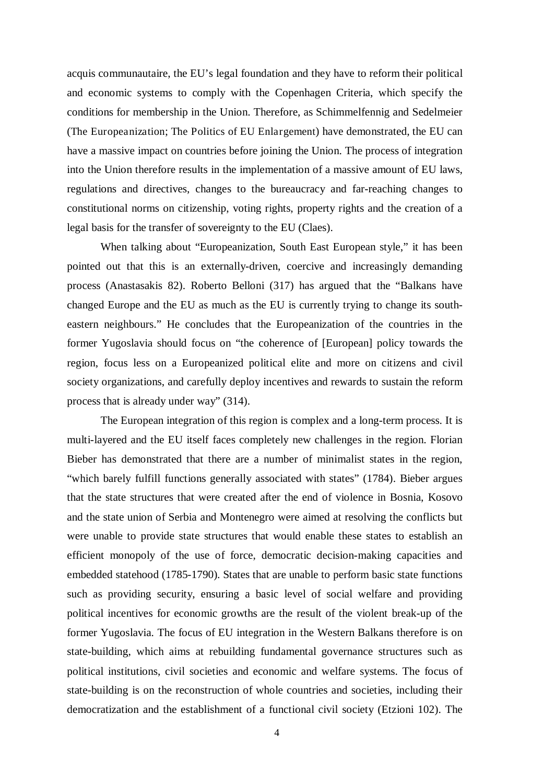acquis communautaire, the EU's legal foundation and they have to reform their political and economic systems to comply with the Copenhagen Criteria, which specify the conditions for membership in the Union. Therefore, as Schimmelfennig and Sedelmeier (The Europeanization; The Politics of EU Enlargement) have demonstrated, the EU can have a massive impact on countries before joining the Union. The process of integration into the Union therefore results in the implementation of a massive amount of EU laws, regulations and directives, changes to the bureaucracy and far-reaching changes to constitutional norms on citizenship, voting rights, property rights and the creation of a legal basis for the transfer of sovereignty to the EU (Claes).

When talking about "Europeanization, South East European style," it has been pointed out that this is an externally-driven, coercive and increasingly demanding process (Anastasakis 82). Roberto Belloni (317) has argued that the "Balkans have changed Europe and the EU as much as the EU is currently trying to change its southeastern neighbours." He concludes that the Europeanization of the countries in the former Yugoslavia should focus on "the coherence of [European] policy towards the region, focus less on a Europeanized political elite and more on citizens and civil society organizations, and carefully deploy incentives and rewards to sustain the reform process that is already under way" (314).

The European integration of this region is complex and a long-term process. It is multi-layered and the EU itself faces completely new challenges in the region. Florian Bieber has demonstrated that there are a number of minimalist states in the region, "which barely fulfill functions generally associated with states" (1784). Bieber argues that the state structures that were created after the end of violence in Bosnia, Kosovo and the state union of Serbia and Montenegro were aimed at resolving the conflicts but were unable to provide state structures that would enable these states to establish an efficient monopoly of the use of force, democratic decision-making capacities and embedded statehood (1785-1790). States that are unable to perform basic state functions such as providing security, ensuring a basic level of social welfare and providing political incentives for economic growths are the result of the violent break-up of the former Yugoslavia. The focus of EU integration in the Western Balkans therefore is on state-building, which aims at rebuilding fundamental governance structures such as political institutions, civil societies and economic and welfare systems. The focus of state-building is on the reconstruction of whole countries and societies, including their democratization and the establishment of a functional civil society (Etzioni 102). The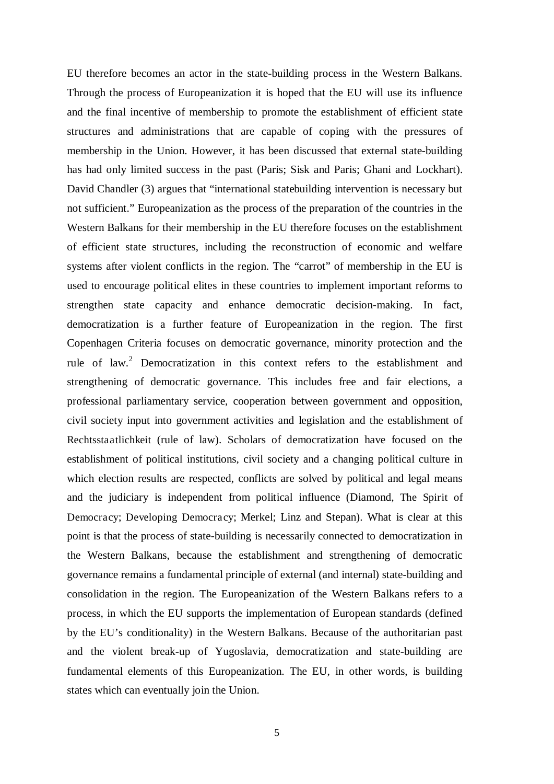EU therefore becomes an actor in the state-building process in the Western Balkans. Through the process of Europeanization it is hoped that the EU will use its influence and the final incentive of membership to promote the establishment of efficient state structures and administrations that are capable of coping with the pressures of membership in the Union. However, it has been discussed that external state-building has had only limited success in the past (Paris; Sisk and Paris; Ghani and Lockhart). David Chandler (3) argues that "international statebuilding intervention is necessary but not sufficient." Europeanization as the process of the preparation of the countries in the Western Balkans for their membership in the EU therefore focuses on the establishment of efficient state structures, including the reconstruction of economic and welfare systems after violent conflicts in the region. The "carrot" of membership in the EU is used to encourage political elites in these countries to implement important reforms to strengthen state capacity and enhance democratic decision-making. In fact, democratization is a further feature of Europeanization in the region. The first Copenhagen Criteria focuses on democratic governance, minority protection and the rule of law.<sup>2</sup> Democratization in this context refers to the establishment and strengthening of democratic governance. This includes free and fair elections, a professional parliamentary service, cooperation between government and opposition, civil society input into government activities and legislation and the establishment of Rechtsstaatlichkeit (rule of law). Scholars of democratization have focused on the establishment of political institutions, civil society and a changing political culture in which election results are respected, conflicts are solved by political and legal means and the judiciary is independent from political influence (Diamond, The Spirit of Democracy; Developing Democracy; Merkel; Linz and Stepan). What is clear at this point is that the process of state-building is necessarily connected to democratization in the Western Balkans, because the establishment and strengthening of democratic governance remains a fundamental principle of external (and internal) state-building and consolidation in the region. The Europeanization of the Western Balkans refers to a process, in which the EU supports the implementation of European standards (defined by the EU's conditionality) in the Western Balkans. Because of the authoritarian past and the violent break-up of Yugoslavia, democratization and state-building are fundamental elements of this Europeanization. The EU, in other words, is building states which can eventually join the Union.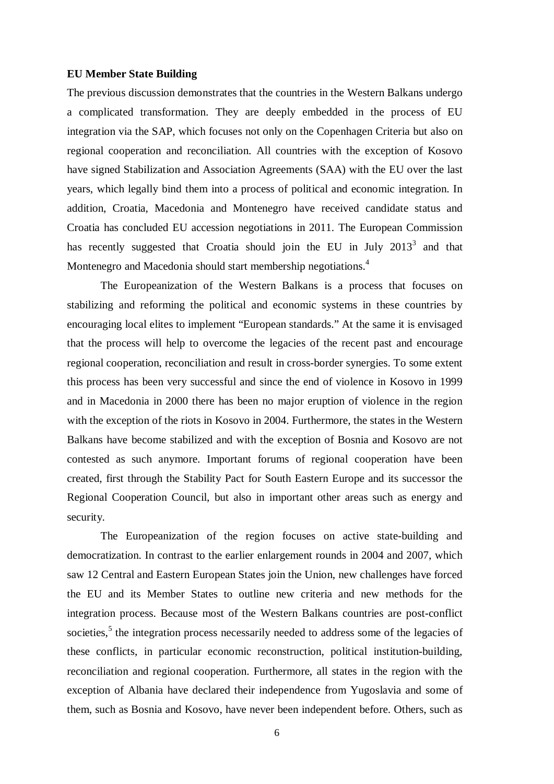#### **EU Member State Building**

The previous discussion demonstrates that the countries in the Western Balkans undergo a complicated transformation. They are deeply embedded in the process of EU integration via the SAP, which focuses not only on the Copenhagen Criteria but also on regional cooperation and reconciliation. All countries with the exception of Kosovo have signed Stabilization and Association Agreements (SAA) with the EU over the last years, which legally bind them into a process of political and economic integration. In addition, Croatia, Macedonia and Montenegro have received candidate status and Croatia has concluded EU accession negotiations in 2011. The European Commission has recently suggested that Croatia should join the EU in July  $2013<sup>3</sup>$  and that Montenegro and Macedonia should start membership negotiations.<sup>4</sup>

The Europeanization of the Western Balkans is a process that focuses on stabilizing and reforming the political and economic systems in these countries by encouraging local elites to implement "European standards." At the same it is envisaged that the process will help to overcome the legacies of the recent past and encourage regional cooperation, reconciliation and result in cross-border synergies. To some extent this process has been very successful and since the end of violence in Kosovo in 1999 and in Macedonia in 2000 there has been no major eruption of violence in the region with the exception of the riots in Kosovo in 2004. Furthermore, the states in the Western Balkans have become stabilized and with the exception of Bosnia and Kosovo are not contested as such anymore. Important forums of regional cooperation have been created, first through the Stability Pact for South Eastern Europe and its successor the Regional Cooperation Council, but also in important other areas such as energy and security.

The Europeanization of the region focuses on active state-building and democratization. In contrast to the earlier enlargement rounds in 2004 and 2007, which saw 12 Central and Eastern European States join the Union, new challenges have forced the EU and its Member States to outline new criteria and new methods for the integration process. Because most of the Western Balkans countries are post-conflict societies,<sup>5</sup> the integration process necessarily needed to address some of the legacies of these conflicts, in particular economic reconstruction, political institution-building, reconciliation and regional cooperation. Furthermore, all states in the region with the exception of Albania have declared their independence from Yugoslavia and some of them, such as Bosnia and Kosovo, have never been independent before. Others, such as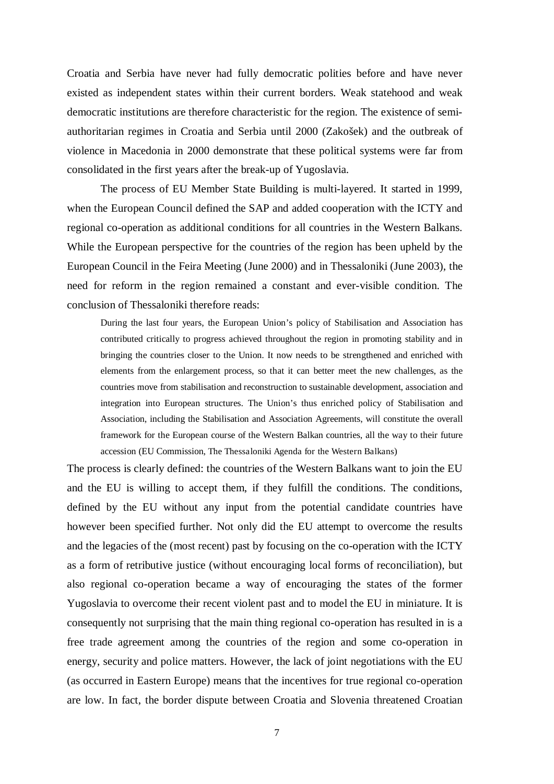Croatia and Serbia have never had fully democratic polities before and have never existed as independent states within their current borders. Weak statehood and weak democratic institutions are therefore characteristic for the region. The existence of semiauthoritarian regimes in Croatia and Serbia until 2000 (Zakošek) and the outbreak of violence in Macedonia in 2000 demonstrate that these political systems were far from consolidated in the first years after the break-up of Yugoslavia.

The process of EU Member State Building is multi-layered. It started in 1999, when the European Council defined the SAP and added cooperation with the ICTY and regional co-operation as additional conditions for all countries in the Western Balkans. While the European perspective for the countries of the region has been upheld by the European Council in the Feira Meeting (June 2000) and in Thessaloniki (June 2003), the need for reform in the region remained a constant and ever-visible condition. The conclusion of Thessaloniki therefore reads:

During the last four years, the European Union's policy of Stabilisation and Association has contributed critically to progress achieved throughout the region in promoting stability and in bringing the countries closer to the Union. It now needs to be strengthened and enriched with elements from the enlargement process, so that it can better meet the new challenges, as the countries move from stabilisation and reconstruction to sustainable development, association and integration into European structures. The Union's thus enriched policy of Stabilisation and Association, including the Stabilisation and Association Agreements, will constitute the overall framework for the European course of the Western Balkan countries, all the way to their future accession (EU Commission, The Thessaloniki Agenda for the Western Balkans)

The process is clearly defined: the countries of the Western Balkans want to join the EU and the EU is willing to accept them, if they fulfill the conditions. The conditions, defined by the EU without any input from the potential candidate countries have however been specified further. Not only did the EU attempt to overcome the results and the legacies of the (most recent) past by focusing on the co-operation with the ICTY as a form of retributive justice (without encouraging local forms of reconciliation), but also regional co-operation became a way of encouraging the states of the former Yugoslavia to overcome their recent violent past and to model the EU in miniature. It is consequently not surprising that the main thing regional co-operation has resulted in is a free trade agreement among the countries of the region and some co-operation in energy, security and police matters. However, the lack of joint negotiations with the EU (as occurred in Eastern Europe) means that the incentives for true regional co-operation are low. In fact, the border dispute between Croatia and Slovenia threatened Croatian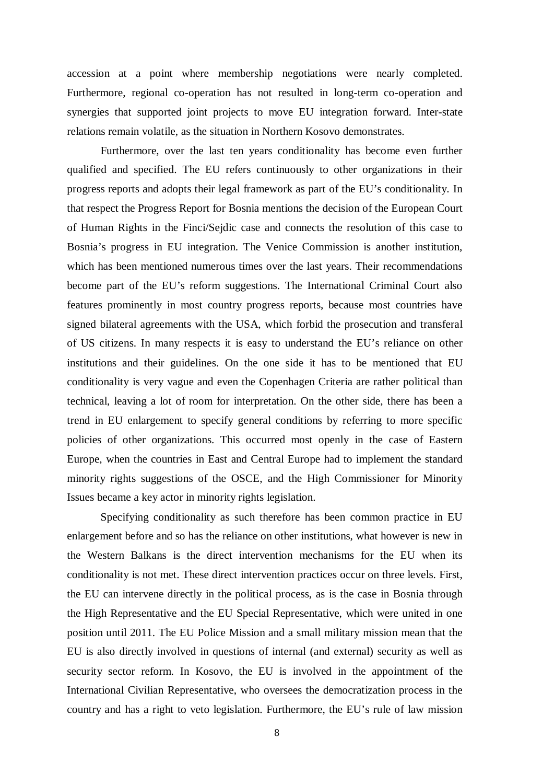accession at a point where membership negotiations were nearly completed. Furthermore, regional co-operation has not resulted in long-term co-operation and synergies that supported joint projects to move EU integration forward. Inter-state relations remain volatile, as the situation in Northern Kosovo demonstrates.

Furthermore, over the last ten years conditionality has become even further qualified and specified. The EU refers continuously to other organizations in their progress reports and adopts their legal framework as part of the EU's conditionality. In that respect the Progress Report for Bosnia mentions the decision of the European Court of Human Rights in the Finci/Sejdic case and connects the resolution of this case to Bosnia's progress in EU integration. The Venice Commission is another institution, which has been mentioned numerous times over the last years. Their recommendations become part of the EU's reform suggestions. The International Criminal Court also features prominently in most country progress reports, because most countries have signed bilateral agreements with the USA, which forbid the prosecution and transferal of US citizens. In many respects it is easy to understand the EU's reliance on other institutions and their guidelines. On the one side it has to be mentioned that EU conditionality is very vague and even the Copenhagen Criteria are rather political than technical, leaving a lot of room for interpretation. On the other side, there has been a trend in EU enlargement to specify general conditions by referring to more specific policies of other organizations. This occurred most openly in the case of Eastern Europe, when the countries in East and Central Europe had to implement the standard minority rights suggestions of the OSCE, and the High Commissioner for Minority Issues became a key actor in minority rights legislation.

Specifying conditionality as such therefore has been common practice in EU enlargement before and so has the reliance on other institutions, what however is new in the Western Balkans is the direct intervention mechanisms for the EU when its conditionality is not met. These direct intervention practices occur on three levels. First, the EU can intervene directly in the political process, as is the case in Bosnia through the High Representative and the EU Special Representative, which were united in one position until 2011. The EU Police Mission and a small military mission mean that the EU is also directly involved in questions of internal (and external) security as well as security sector reform. In Kosovo, the EU is involved in the appointment of the International Civilian Representative, who oversees the democratization process in the country and has a right to veto legislation. Furthermore, the EU's rule of law mission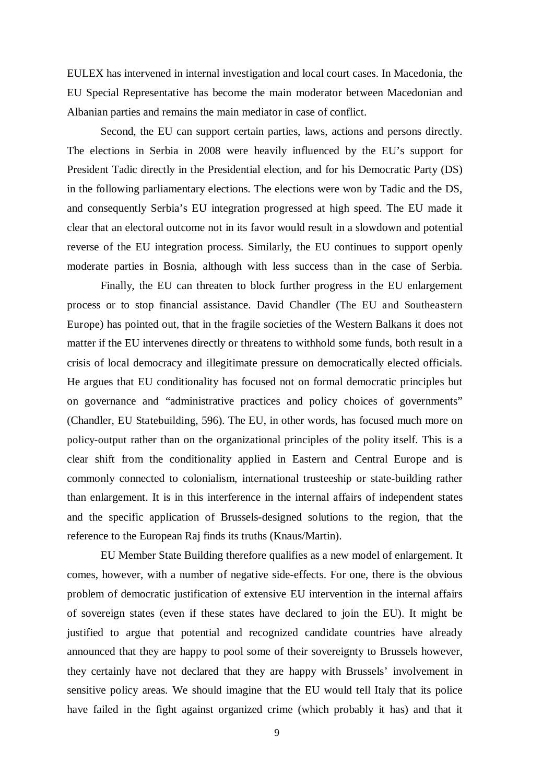EULEX has intervened in internal investigation and local court cases. In Macedonia, the EU Special Representative has become the main moderator between Macedonian and Albanian parties and remains the main mediator in case of conflict.

Second, the EU can support certain parties, laws, actions and persons directly. The elections in Serbia in 2008 were heavily influenced by the EU's support for President Tadic directly in the Presidential election, and for his Democratic Party (DS) in the following parliamentary elections. The elections were won by Tadic and the DS, and consequently Serbia's EU integration progressed at high speed. The EU made it clear that an electoral outcome not in its favor would result in a slowdown and potential reverse of the EU integration process. Similarly, the EU continues to support openly moderate parties in Bosnia, although with less success than in the case of Serbia.

Finally, the EU can threaten to block further progress in the EU enlargement process or to stop financial assistance. David Chandler (The EU and Southeastern Europe) has pointed out, that in the fragile societies of the Western Balkans it does not matter if the EU intervenes directly or threatens to withhold some funds, both result in a crisis of local democracy and illegitimate pressure on democratically elected officials. He argues that EU conditionality has focused not on formal democratic principles but on governance and "administrative practices and policy choices of governments" (Chandler, EU Statebuilding, 596). The EU, in other words, has focused much more on policy-output rather than on the organizational principles of the polity itself. This is a clear shift from the conditionality applied in Eastern and Central Europe and is commonly connected to colonialism, international trusteeship or state-building rather than enlargement. It is in this interference in the internal affairs of independent states and the specific application of Brussels-designed solutions to the region, that the reference to the European Raj finds its truths (Knaus/Martin).

EU Member State Building therefore qualifies as a new model of enlargement. It comes, however, with a number of negative side-effects. For one, there is the obvious problem of democratic justification of extensive EU intervention in the internal affairs of sovereign states (even if these states have declared to join the EU). It might be justified to argue that potential and recognized candidate countries have already announced that they are happy to pool some of their sovereignty to Brussels however, they certainly have not declared that they are happy with Brussels' involvement in sensitive policy areas. We should imagine that the EU would tell Italy that its police have failed in the fight against organized crime (which probably it has) and that it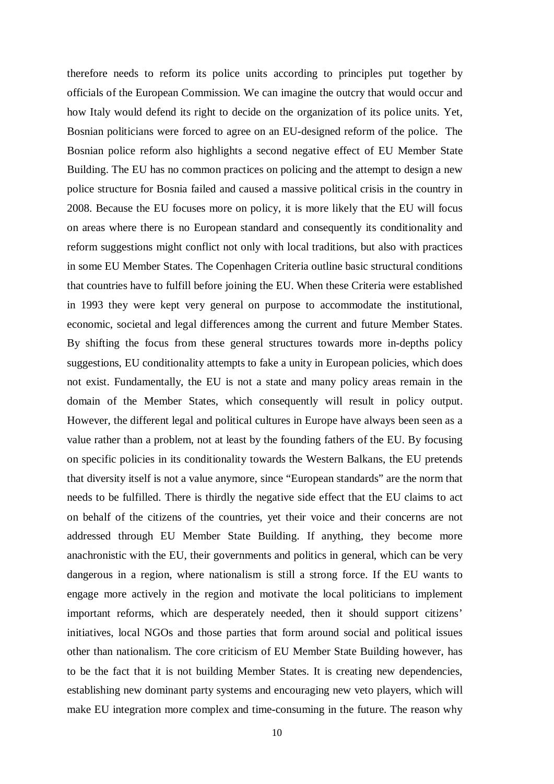therefore needs to reform its police units according to principles put together by officials of the European Commission. We can imagine the outcry that would occur and how Italy would defend its right to decide on the organization of its police units. Yet, Bosnian politicians were forced to agree on an EU-designed reform of the police. The Bosnian police reform also highlights a second negative effect of EU Member State Building. The EU has no common practices on policing and the attempt to design a new police structure for Bosnia failed and caused a massive political crisis in the country in 2008. Because the EU focuses more on policy, it is more likely that the EU will focus on areas where there is no European standard and consequently its conditionality and reform suggestions might conflict not only with local traditions, but also with practices in some EU Member States. The Copenhagen Criteria outline basic structural conditions that countries have to fulfill before joining the EU. When these Criteria were established in 1993 they were kept very general on purpose to accommodate the institutional, economic, societal and legal differences among the current and future Member States. By shifting the focus from these general structures towards more in-depths policy suggestions, EU conditionality attempts to fake a unity in European policies, which does not exist. Fundamentally, the EU is not a state and many policy areas remain in the domain of the Member States, which consequently will result in policy output. However, the different legal and political cultures in Europe have always been seen as a value rather than a problem, not at least by the founding fathers of the EU. By focusing on specific policies in its conditionality towards the Western Balkans, the EU pretends that diversity itself is not a value anymore, since "European standards" are the norm that needs to be fulfilled. There is thirdly the negative side effect that the EU claims to act on behalf of the citizens of the countries, yet their voice and their concerns are not addressed through EU Member State Building. If anything, they become more anachronistic with the EU, their governments and politics in general, which can be very dangerous in a region, where nationalism is still a strong force. If the EU wants to engage more actively in the region and motivate the local politicians to implement important reforms, which are desperately needed, then it should support citizens' initiatives, local NGOs and those parties that form around social and political issues other than nationalism. The core criticism of EU Member State Building however, has to be the fact that it is not building Member States. It is creating new dependencies, establishing new dominant party systems and encouraging new veto players, which will make EU integration more complex and time-consuming in the future. The reason why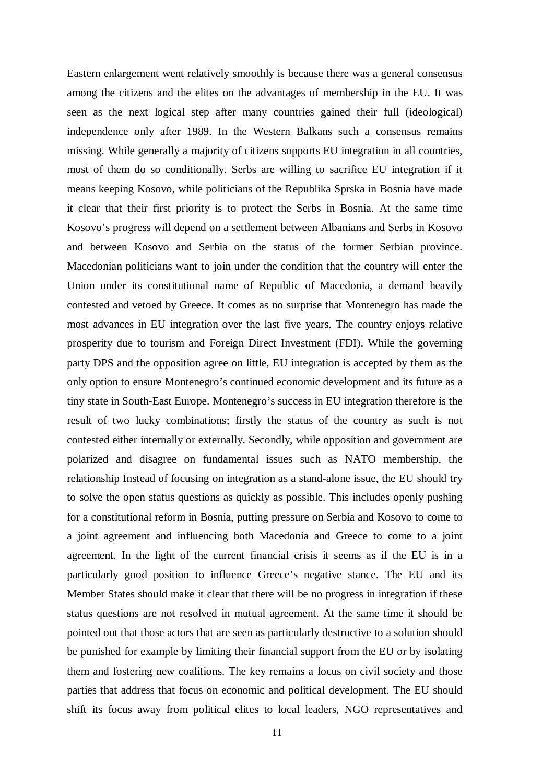Eastern enlargement went relatively smoothly is because there was a general consensus among the citizens and the elites on the advantages of membership in the EU. It was seen as the next logical step after many countries gained their full (ideological) independence only after 1989. In the Western Balkans such a consensus remains missing. While generally a majority of citizens supports EU integration in all countries, most of them do so conditionally. Serbs are willing to sacrifice EU integration if it means keeping Kosovo, while politicians of the Republika Sprska in Bosnia have made it clear that their first priority is to protect the Serbs in Bosnia. At the same time Kosovo's progress will depend on a settlement between Albanians and Serbs in Kosovo and between Kosovo and Serbia on the status of the former Serbian province. Macedonian politicians want to join under the condition that the country will enter the Union under its constitutional name of Republic of Macedonia, a demand heavily contested and vetoed by Greece. It comes as no surprise that Montenegro has made the most advances in EU integration over the last five years. The country enjoys relative prosperity due to tourism and Foreign Direct Investment (FDI). While the governing party DPS and the opposition agree on little, EU integration is accepted by them as the only option to ensure Montenegro's continued economic development and its future as a tiny state in South-East Europe. Montenegro's success in EU integration therefore is the result of two lucky combinations; firstly the status of the country as such is not contested either internally or externally. Secondly, while opposition and government are polarized and disagree on fundamental issues such as NATO membership, the relationship Instead of focusing on integration as a stand-alone issue, the EU should try to solve the open status questions as quickly as possible. This includes openly pushing for a constitutional reform in Bosnia, putting pressure on Serbia and Kosovo to come to a joint agreement and influencing both Macedonia and Greece to come to a joint agreement. In the light of the current financial crisis it seems as if the EU is in a particularly good position to influence Greece's negative stance. The EU and its Member States should make it clear that there will be no progress in integration if these status questions are not resolved in mutual agreement. At the same time it should be pointed out that those actors that are seen as particularly destructive to a solution should be punished for example by limiting their financial support from the EU or by isolating them and fostering new coalitions. The key remains a focus on civil society and those parties that address that focus on economic and political development. The EU should shift its focus away from political elites to local leaders, NGO representatives and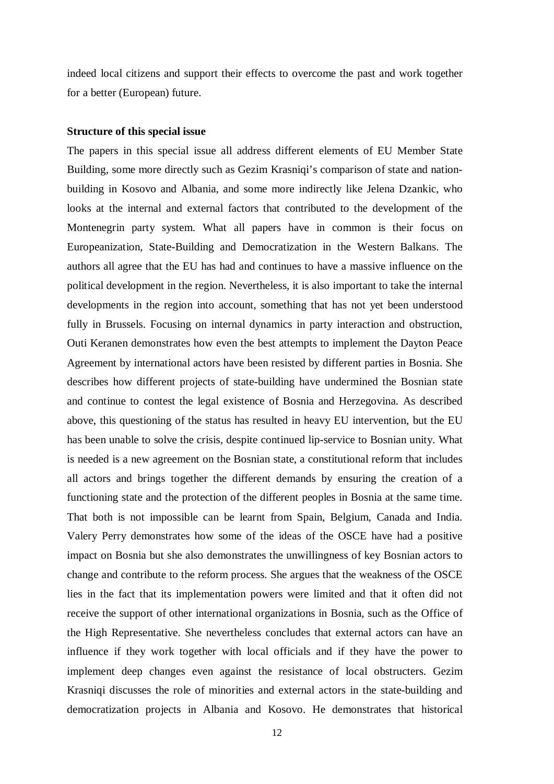indeed local citizens and support their effects to overcome the past and work together for a better (European) future.

#### **Structure of this special issue**

The papers in this special issue all address different elements of EU Member State Building, some more directly such as Gezim Krasniqi's comparison of state and nationbuilding in Kosovo and Albania, and some more indirectly like Jelena Dzankic, who looks at the internal and external factors that contributed to the development of the Montenegrin party system. What all papers have in common is their focus on Europeanization, State-Building and Democratization in the Western Balkans. The authors all agree that the EU has had and continues to have a massive influence on the political development in the region. Nevertheless, it is also important to take the internal developments in the region into account, something that has not yet been understood fully in Brussels. Focusing on internal dynamics in party interaction and obstruction, Outi Keranen demonstrates how even the best attempts to implement the Dayton Peace Agreement by international actors have been resisted by different parties in Bosnia. She describes how different projects of state-building have undermined the Bosnian state and continue to contest the legal existence of Bosnia and Herzegovina. As described above, this questioning of the status has resulted in heavy EU intervention, but the EU has been unable to solve the crisis, despite continued lip-service to Bosnian unity. What is needed is a new agreement on the Bosnian state, a constitutional reform that includes all actors and brings together the different demands by ensuring the creation of a functioning state and the protection of the different peoples in Bosnia at the same time. That both is not impossible can be learnt from Spain, Belgium, Canada and India. Valery Perry demonstrates how some of the ideas of the OSCE have had a positive impact on Bosnia but she also demonstrates the unwillingness of key Bosnian actors to change and contribute to the reform process. She argues that the weakness of the OSCE lies in the fact that its implementation powers were limited and that it often did not receive the support of other international organizations in Bosnia, such as the Office of the High Representative. She nevertheless concludes that external actors can have an influence if they work together with local officials and if they have the power to implement deep changes even against the resistance of local obstructers. Gezim Krasniqi discusses the role of minorities and external actors in the state-building and democratization projects in Albania and Kosovo. He demonstrates that historical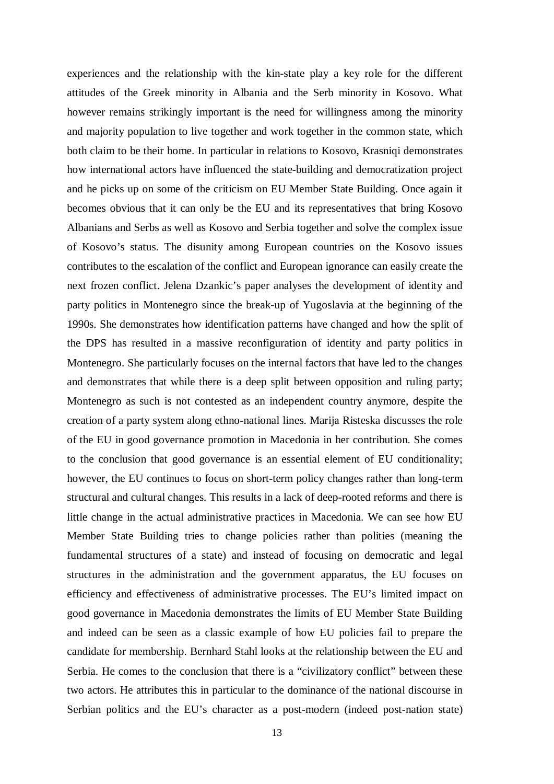experiences and the relationship with the kin-state play a key role for the different attitudes of the Greek minority in Albania and the Serb minority in Kosovo. What however remains strikingly important is the need for willingness among the minority and majority population to live together and work together in the common state, which both claim to be their home. In particular in relations to Kosovo, Krasniqi demonstrates how international actors have influenced the state-building and democratization project and he picks up on some of the criticism on EU Member State Building. Once again it becomes obvious that it can only be the EU and its representatives that bring Kosovo Albanians and Serbs as well as Kosovo and Serbia together and solve the complex issue of Kosovo's status. The disunity among European countries on the Kosovo issues contributes to the escalation of the conflict and European ignorance can easily create the next frozen conflict. Jelena Dzankic's paper analyses the development of identity and party politics in Montenegro since the break-up of Yugoslavia at the beginning of the 1990s. She demonstrates how identification patterns have changed and how the split of the DPS has resulted in a massive reconfiguration of identity and party politics in Montenegro. She particularly focuses on the internal factors that have led to the changes and demonstrates that while there is a deep split between opposition and ruling party; Montenegro as such is not contested as an independent country anymore, despite the creation of a party system along ethno-national lines. Marija Risteska discusses the role of the EU in good governance promotion in Macedonia in her contribution. She comes to the conclusion that good governance is an essential element of EU conditionality; however, the EU continues to focus on short-term policy changes rather than long-term structural and cultural changes. This results in a lack of deep-rooted reforms and there is little change in the actual administrative practices in Macedonia. We can see how EU Member State Building tries to change policies rather than polities (meaning the fundamental structures of a state) and instead of focusing on democratic and legal structures in the administration and the government apparatus, the EU focuses on efficiency and effectiveness of administrative processes. The EU's limited impact on good governance in Macedonia demonstrates the limits of EU Member State Building and indeed can be seen as a classic example of how EU policies fail to prepare the candidate for membership. Bernhard Stahl looks at the relationship between the EU and Serbia. He comes to the conclusion that there is a "civilizatory conflict" between these two actors. He attributes this in particular to the dominance of the national discourse in Serbian politics and the EU's character as a post-modern (indeed post-nation state)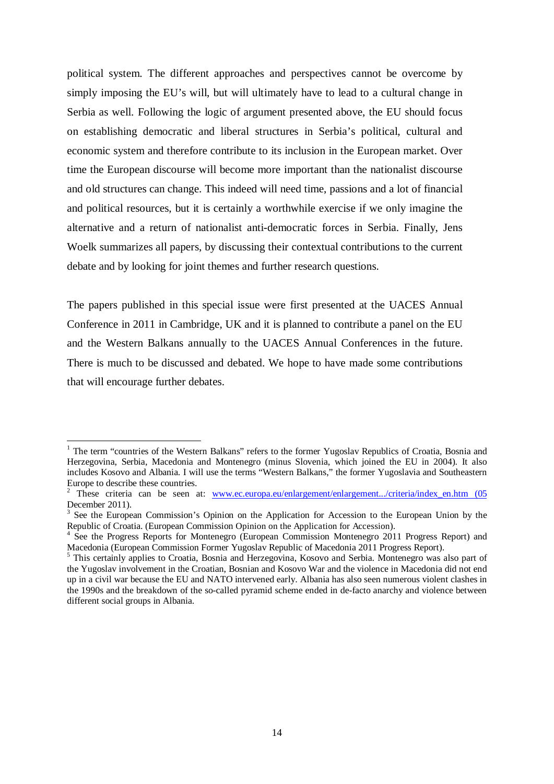political system. The different approaches and perspectives cannot be overcome by simply imposing the EU's will, but will ultimately have to lead to a cultural change in Serbia as well. Following the logic of argument presented above, the EU should focus on establishing democratic and liberal structures in Serbia's political, cultural and economic system and therefore contribute to its inclusion in the European market. Over time the European discourse will become more important than the nationalist discourse and old structures can change. This indeed will need time, passions and a lot of financial and political resources, but it is certainly a worthwhile exercise if we only imagine the alternative and a return of nationalist anti-democratic forces in Serbia. Finally, Jens Woelk summarizes all papers, by discussing their contextual contributions to the current debate and by looking for joint themes and further research questions.

The papers published in this special issue were first presented at the UACES Annual Conference in 2011 in Cambridge, UK and it is planned to contribute a panel on the EU and the Western Balkans annually to the UACES Annual Conferences in the future. There is much to be discussed and debated. We hope to have made some contributions that will encourage further debates.

 $\overline{a}$ 

<sup>&</sup>lt;sup>1</sup> The term "countries of the Western Balkans" refers to the former Yugoslav Republics of Croatia, Bosnia and Herzegovina, Serbia, Macedonia and Montenegro (minus Slovenia, which joined the EU in 2004). It also includes Kosovo and Albania. I will use the terms "Western Balkans," the former Yugoslavia and Southeastern Europe to describe these countries.

<sup>&</sup>lt;sup>2</sup> These criteria can be seen at: www.ec.europa.eu/enlargement/enlargement.../criteria/index\_en.htm (05 December 2011).

<sup>3</sup> See the European Commission's Opinion on the Application for Accession to the European Union by the Republic of Croatia. (European Commission Opinion on the Application for Accession).

<sup>&</sup>lt;sup>4</sup> See the Progress Reports for Montenegro (European Commission Montenegro 2011 Progress Report) and Macedonia (European Commission Former Yugoslav Republic of Macedonia 2011 Progress Report).

<sup>&</sup>lt;sup>5</sup> This certainly applies to Croatia, Bosnia and Herzegovina, Kosovo and Serbia. Montenegro was also part of the Yugoslav involvement in the Croatian, Bosnian and Kosovo War and the violence in Macedonia did not end up in a civil war because the EU and NATO intervened early. Albania has also seen numerous violent clashes in the 1990s and the breakdown of the so-called pyramid scheme ended in de-facto anarchy and violence between different social groups in Albania.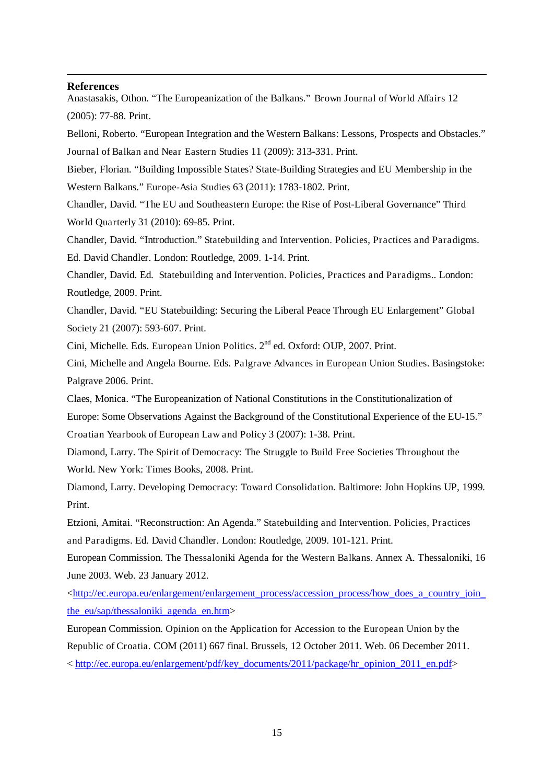#### **References**

 $\overline{a}$ 

Anastasakis, Othon. "The Europeanization of the Balkans." Brown Journal of World Affairs 12 (2005): 77-88. Print.

Belloni, Roberto. "European Integration and the Western Balkans: Lessons, Prospects and Obstacles." Journal of Balkan and Near Eastern Studies 11 (2009): 313-331. Print.

Bieber, Florian. "Building Impossible States? State-Building Strategies and EU Membership in the

Western Balkans." Europe-Asia Studies 63 (2011): 1783-1802. Print.

Chandler, David. "The EU and Southeastern Europe: the Rise of Post-Liberal Governance" Third World Quarterly 31 (2010): 69-85. Print.

Chandler, David. "Introduction." Statebuilding and Intervention. Policies, Practices and Paradigms. Ed. David Chandler. London: Routledge, 2009. 1-14. Print.

Chandler, David. Ed. Statebuilding and Intervention. Policies, Practices and Paradigms.. London: Routledge, 2009. Print.

Chandler, David. "EU Statebuilding: Securing the Liberal Peace Through EU Enlargement" Global Society 21 (2007): 593-607. Print.

Cini, Michelle. Eds. European Union Politics. 2<sup>nd</sup> ed. Oxford: OUP, 2007. Print.

Cini, Michelle and Angela Bourne. Eds. Palgrave Advances in European Union Studies. Basingstoke: Palgrave 2006. Print.

Claes, Monica. "The Europeanization of National Constitutions in the Constitutionalization of

Europe: Some Observations Against the Background of the Constitutional Experience of the EU-15."

Croatian Yearbook of European Law and Policy 3 (2007): 1-38. Print.

Diamond, Larry. The Spirit of Democracy: The Struggle to Build Free Societies Throughout the World. New York: Times Books, 2008. Print.

Diamond, Larry. Developing Democracy: Toward Consolidation. Baltimore: John Hopkins UP, 1999. Print.

Etzioni, Amitai. "Reconstruction: An Agenda." Statebuilding and Intervention. Policies, Practices and Paradigms. Ed. David Chandler. London: Routledge, 2009. 101-121. Print.

European Commission. The Thessaloniki Agenda for the Western Balkans. Annex A. Thessaloniki, 16 June 2003. Web. 23 January 2012.

<http://ec.europa.eu/enlargement/enlargement\_process/accession\_process/how\_does\_a\_country\_join\_ the eu/sap/thessaloniki agenda en.htm>

European Commission. Opinion on the Application for Accession to the European Union by the Republic of Croatia. COM (2011) 667 final. Brussels, 12 October 2011. Web. 06 December 2011.

< http://ec.europa.eu/enlargement/pdf/key\_documents/2011/package/hr\_opinion\_2011\_en.pdf>